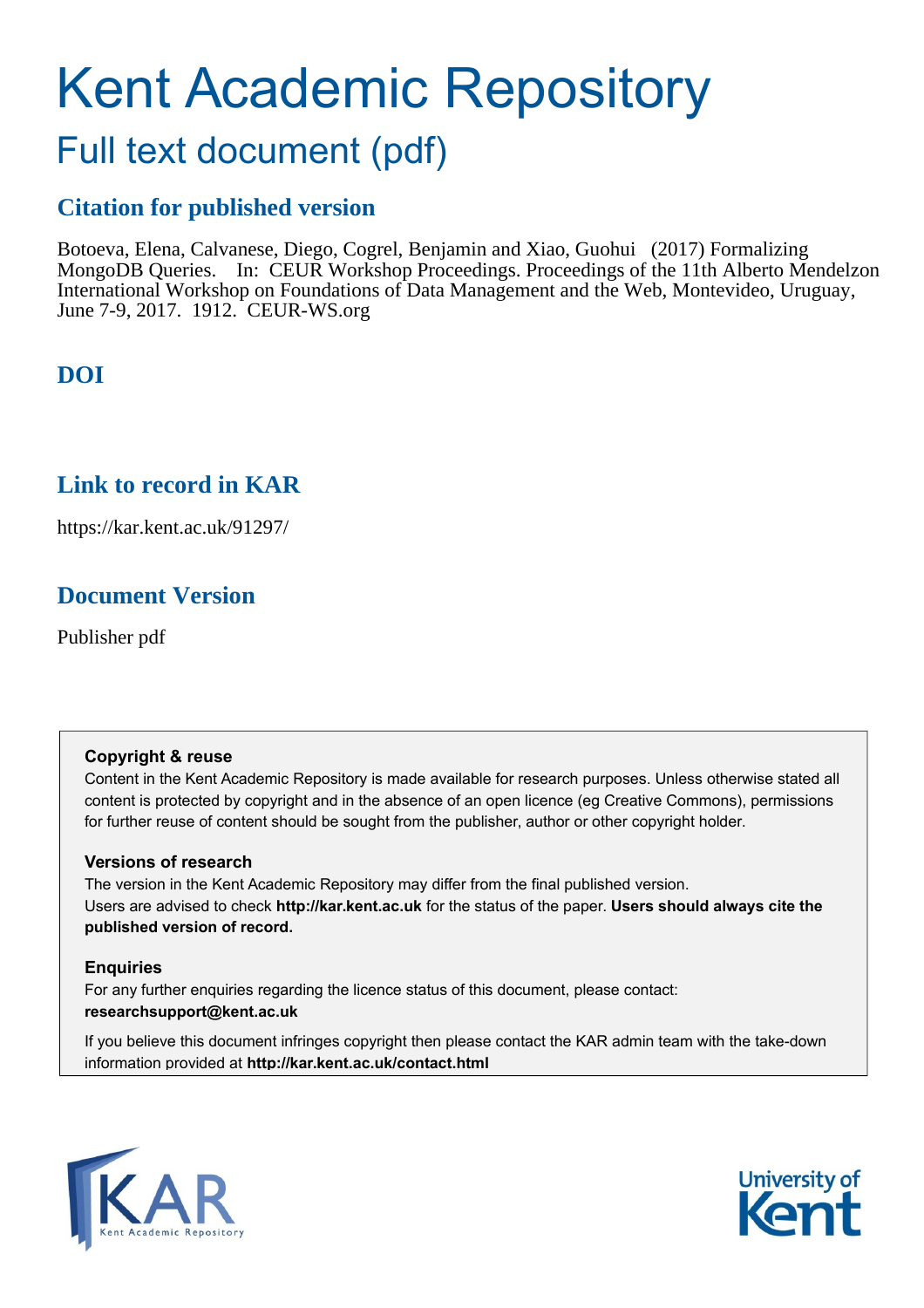# Kent Academic Repository

## Full text document (pdf)

### **Citation for published version**

Botoeva, Elena, Calvanese, Diego, Cogrel, Benjamin and Xiao, Guohui (2017) Formalizing MongoDB Queries. In: CEUR Workshop Proceedings. Proceedings of the 11th Alberto Mendelzon International Workshop on Foundations of Data Management and the Web, Montevideo, Uruguay, June 7-9, 2017. 1912. CEUR-WS.org

## **DOI**

## **Link to record in KAR**

https://kar.kent.ac.uk/91297/

## **Document Version**

Publisher pdf

#### **Copyright & reuse**

Content in the Kent Academic Repository is made available for research purposes. Unless otherwise stated all content is protected by copyright and in the absence of an open licence (eg Creative Commons), permissions for further reuse of content should be sought from the publisher, author or other copyright holder.

#### **Versions of research**

The version in the Kent Academic Repository may differ from the final published version. Users are advised to check **http://kar.kent.ac.uk** for the status of the paper. **Users should always cite the published version of record.**

#### **Enquiries**

For any further enquiries regarding the licence status of this document, please contact: **researchsupport@kent.ac.uk**

If you believe this document infringes copyright then please contact the KAR admin team with the take-down information provided at **http://kar.kent.ac.uk/contact.html**



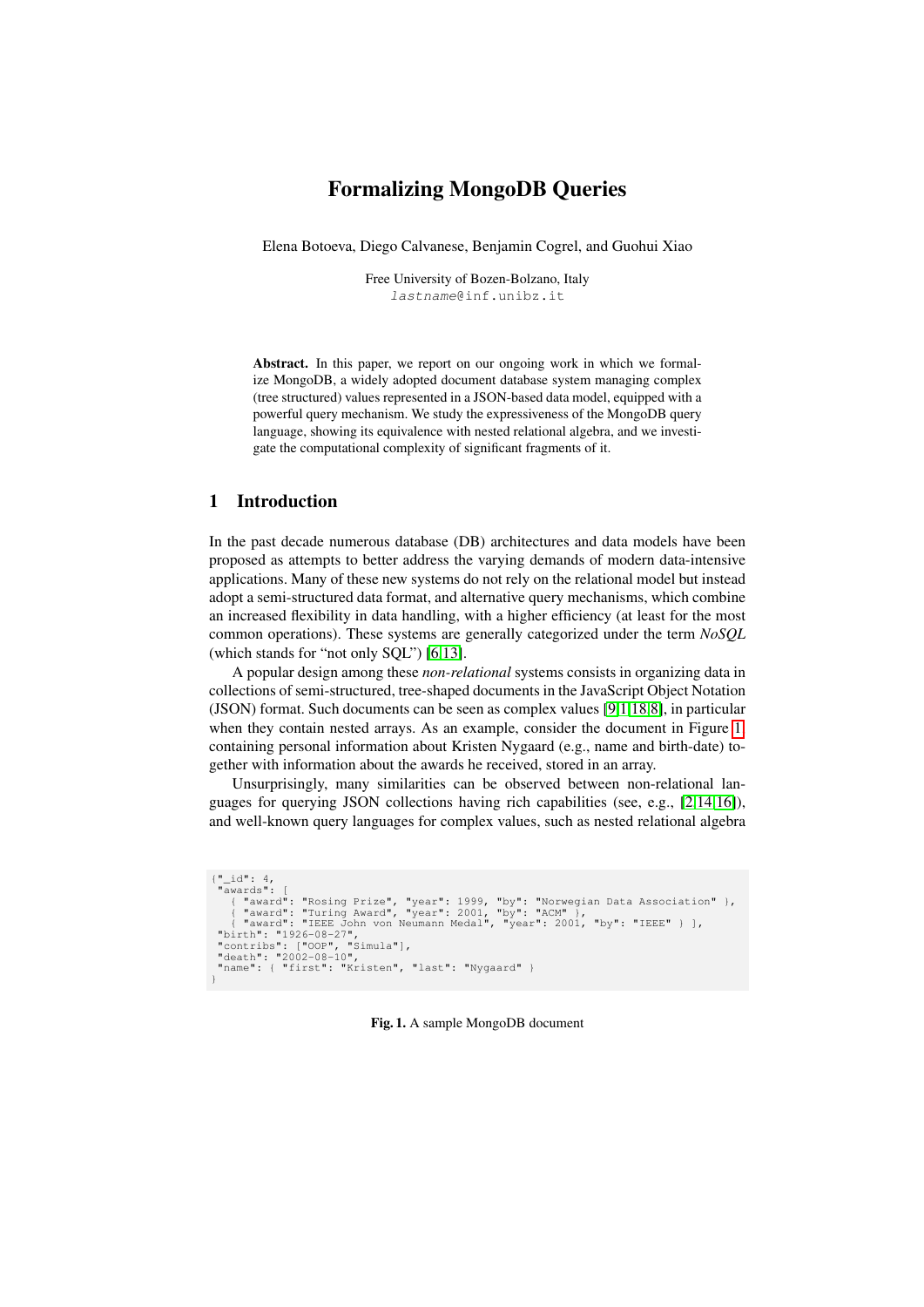#### Formalizing MongoDB Queries

Elena Botoeva, Diego Calvanese, Benjamin Cogrel, and Guohui Xiao

Free University of Bozen-Bolzano, Italy lastname@inf.unibz.it

Abstract. In this paper, we report on our ongoing work in which we formalize MongoDB, a widely adopted document database system managing complex (tree structured) values represented in a JSON-based data model, equipped with a powerful query mechanism. We study the expressiveness of the MongoDB query language, showing its equivalence with nested relational algebra, and we investigate the computational complexity of significant fragments of it.

#### 1 Introduction

In the past decade numerous database (DB) architectures and data models have been proposed as attempts to better address the varying demands of modern data-intensive applications. Many of these new systems do not rely on the relational model but instead adopt a semi-structured data format, and alternative query mechanisms, which combine an increased flexibility in data handling, with a higher efficiency (at least for the most common operations). These systems are generally categorized under the term *NoSQL* (which stands for "not only SQL") [6,13].

A popular design among these *non-relational* systems consists in organizing data in collections of semi-structured, tree-shaped documents in the JavaScript Object Notation (JSON) format. Such documents can be seen as complex values [9,1,18,8], in particular when they contain nested arrays. As an example, consider the document in Figure 1, containing personal information about Kristen Nygaard (e.g., name and birth-date) together with information about the awards he received, stored in an array.

Unsurprisingly, many similarities can be observed between non-relational languages for querying JSON collections having rich capabilities (see, e.g., [2,14,16]), and well-known query languages for complex values, such as nested relational algebra

```
{"_id": 4,
"awards": [
      { "award": "Rosing Prize", "year": 1999, "by": "Norwegian Data Association" },
{ "award": "Turing Award", "year": 2001, "by": "ACM" },
{ "award": "IEEE John von Neumann Medal", "year": 2001, "by": "IEEE" } ],
  "birth": "1926-08-27",
"contribs": ["OOP", "Simula"],
"death": "2002-08-10",
 "name": { "first": "Kristen", "last": "Nygaard" }
}
```
Fig. 1. A sample MongoDB document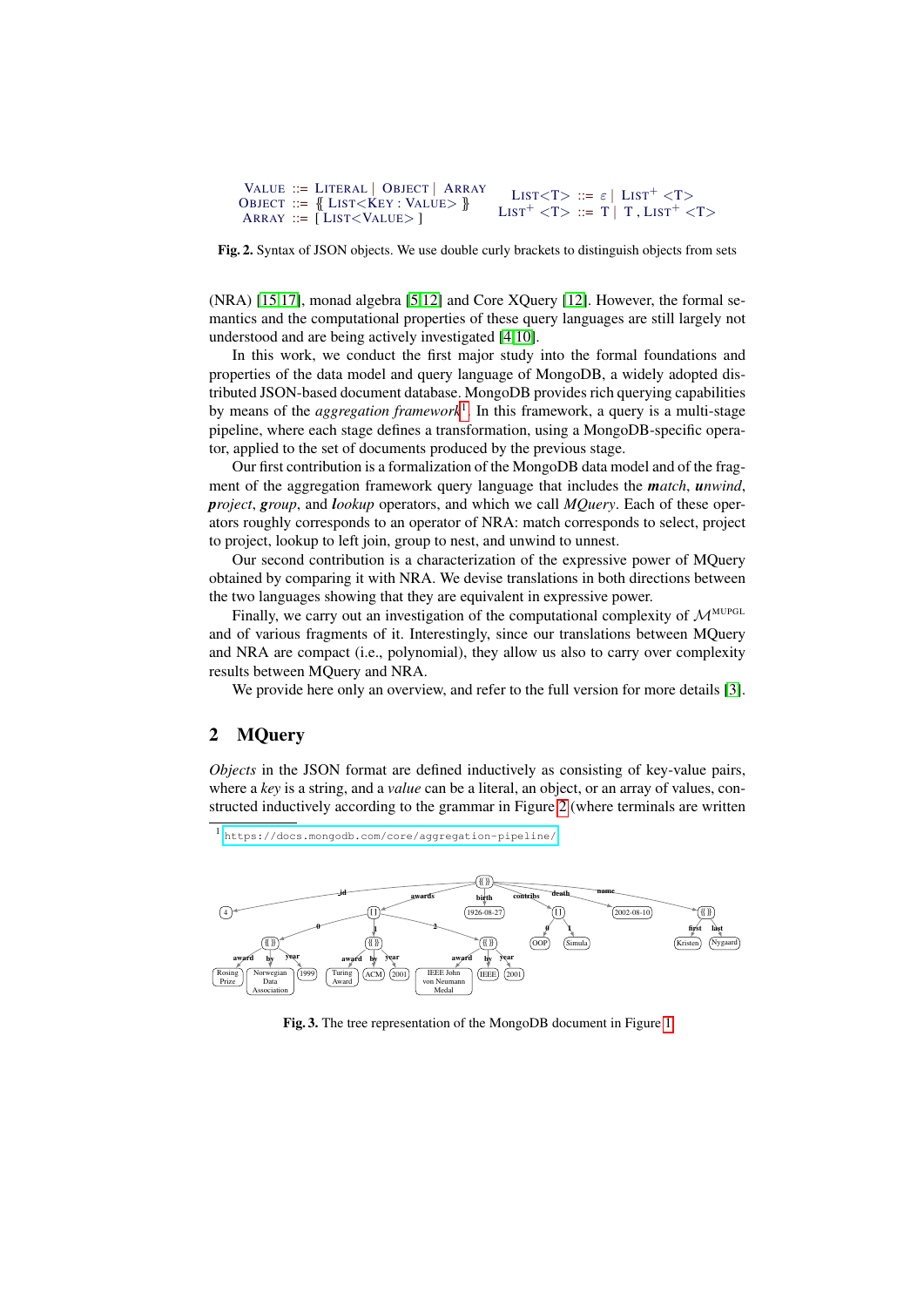| VALUE ::= LITERAL   OBJECT   ARRAY                             | LIST <t> ::= <math>\varepsilon</math>   LIST<sup>+</sup> <t></t></t>                   |
|----------------------------------------------------------------|----------------------------------------------------------------------------------------|
| OBJECT ::= $\{$ LIST <key :="" value=""> <math>\}</math></key> |                                                                                        |
| ARRAY ::= $[LIST < VALUE>$ ]                                   | LIST <sup>+</sup> $\langle T \rangle$ ::= T   T, LIST <sup>+</sup> $\langle T \rangle$ |

Fig. 2. Syntax of JSON objects. We use double curly brackets to distinguish objects from sets

(NRA) [15,17], monad algebra [5,12] and Core XQuery [12]. However, the formal semantics and the computational properties of these query languages are still largely not understood and are being actively investigated [4,10].

In this work, we conduct the first major study into the formal foundations and properties of the data model and query language of MongoDB, a widely adopted distributed JSON-based document database. MongoDB provides rich querying capabilities by means of the *aggregation framework*1 . In this framework, a query is a multi-stage pipeline, where each stage defines a transformation, using a MongoDB-specific operator, applied to the set of documents produced by the previous stage.

Our first contribution is a formalization of the MongoDB data model and of the fragment of the aggregation framework query language that includes the *match*, *unwind*, *project*, *group*, and *lookup* operators, and which we call *MQuery*. Each of these operators roughly corresponds to an operator of NRA: match corresponds to select, project to project, lookup to left join, group to nest, and unwind to unnest.

Our second contribution is a characterization of the expressive power of MQuery obtained by comparing it with NRA. We devise translations in both directions between the two languages showing that they are equivalent in expressive power.

Finally, we carry out an investigation of the computational complexity of  $\mathcal{M}^{\text{MUPGL}}$ and of various fragments of it. Interestingly, since our translations between MQuery and NRA are compact (i.e., polynomial), they allow us also to carry over complexity results between MQuery and NRA.

We provide here only an overview, and refer to the full version for more details [3].

#### 2 MQuery

*Objects* in the JSON format are defined inductively as consisting of key-value pairs, where a *key* is a string, and a *value* can be a literal, an object, or an array of values, constructed inductively according to the grammar in Figure 2 (where terminals are written

1 <https://docs.mongodb.com/core/aggregation-pipeline/>



Fig. 3. The tree representation of the MongoDB document in Figure 1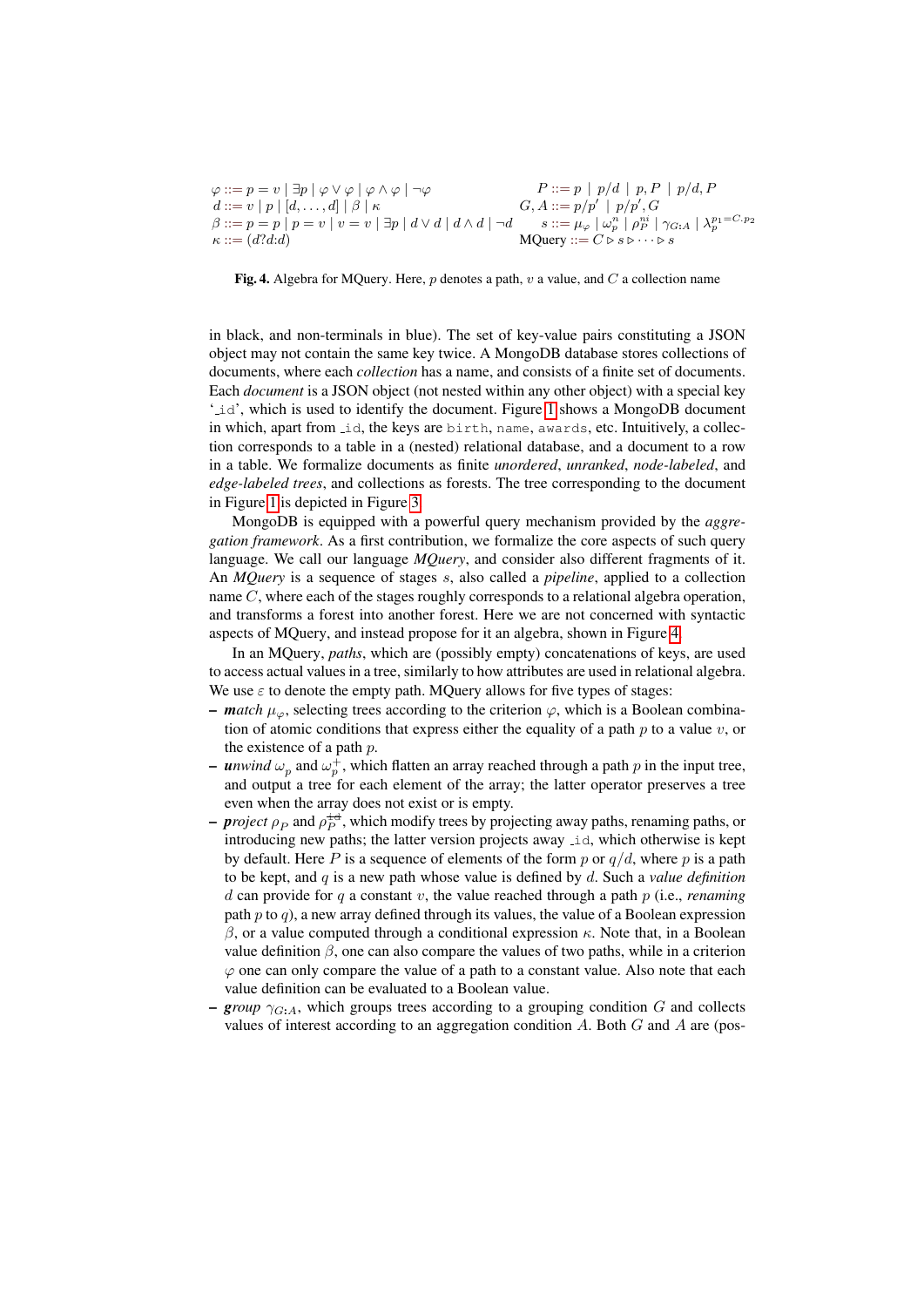$$
\varphi ::= p = v | \exists p | \varphi \vee \varphi | \varphi \wedge \varphi | \neg \varphi
$$
  
\n
$$
d ::= v | p | [d, ..., d] | \beta | \kappa
$$
  
\n
$$
\beta ::= p = p | p = v | v = v | \exists p | d \vee d | d \wedge d | \neg d
$$
  
\n
$$
\kappa ::= (d?d:d)
$$
  
\n
$$
\varphi ::= p | p/d | p, P | p/d, P
$$
  
\n
$$
G, A ::= p/p' | p/p', G
$$
  
\n
$$
s ::= \mu_{\varphi} | \omega_{p}^{n} | \rho_{p}^{n} | \gamma_{G:A} | \lambda_{p}^{p_{1}=C.p_{2}}
$$
  
\n
$$
\kappa ::= (d?d:d)
$$

Fig. 4. Algebra for MQuery. Here,  $p$  denotes a path,  $v$  a value, and  $C$  a collection name

in black, and non-terminals in blue). The set of key-value pairs constituting a JSON object may not contain the same key twice. A MongoDB database stores collections of documents, where each *collection* has a name, and consists of a finite set of documents. Each *document* is a JSON object (not nested within any other object) with a special key  $i$   $\pm$ d', which is used to identify the document. Figure 1 shows a MongoDB document in which, apart from id, the keys are birth, name, awards, etc. Intuitively, a collection corresponds to a table in a (nested) relational database, and a document to a row in a table. We formalize documents as finite *unordered*, *unranked*, *node-labeled*, and *edge-labeled trees*, and collections as forests. The tree corresponding to the document in Figure 1 is depicted in Figure 3.

MongoDB is equipped with a powerful query mechanism provided by the *aggregation framework*. As a first contribution, we formalize the core aspects of such query language. We call our language *MQuery*, and consider also different fragments of it. An *MQuery* is a sequence of stages s, also called a *pipeline*, applied to a collection name C, where each of the stages roughly corresponds to a relational algebra operation, and transforms a forest into another forest. Here we are not concerned with syntactic aspects of MQuery, and instead propose for it an algebra, shown in Figure 4.

In an MQuery, *paths*, which are (possibly empty) concatenations of keys, are used to access actual values in a tree, similarly to how attributes are used in relational algebra. We use  $\varepsilon$  to denote the empty path. MQuery allows for five types of stages:

- *match*  $\mu_{\varphi}$ , selecting trees according to the criterion  $\varphi$ , which is a Boolean combination of atomic conditions that express either the equality of a path  $p$  to a value  $v$ , or the existence of a path  $p$ .
- *unwind*  $\omega_p$  and  $\omega_p^+$ , which flatten an array reached through a path p in the input tree, and output a tree for each element of the array; the latter operator preserves a tree even when the array does not exist or is empty.
- $-$  *project*  $\rho_P$  and  $\rho_P^{\text{tot}}$ , which modify trees by projecting away paths, renaming paths, or introducing new paths; the latter version projects away  $\pm d$ , which otherwise is kept by default. Here P is a sequence of elements of the form p or  $q/d$ , where p is a path to be kept, and q is a new path whose value is defined by d. Such a *value definition* d can provide for q a constant v, the value reached through a path p (i.e., *renaming* path  $p$  to  $q$ ), a new array defined through its values, the value of a Boolean expression β, or a value computed through a conditional expression  $κ$ . Note that, in a Boolean value definition  $\beta$ , one can also compare the values of two paths, while in a criterion  $\varphi$  one can only compare the value of a path to a constant value. Also note that each value definition can be evaluated to a Boolean value.
- $-$  *group*  $\gamma_{G:A}$ , which groups trees according to a grouping condition G and collects values of interest according to an aggregation condition  $A$ . Both  $G$  and  $A$  are (pos-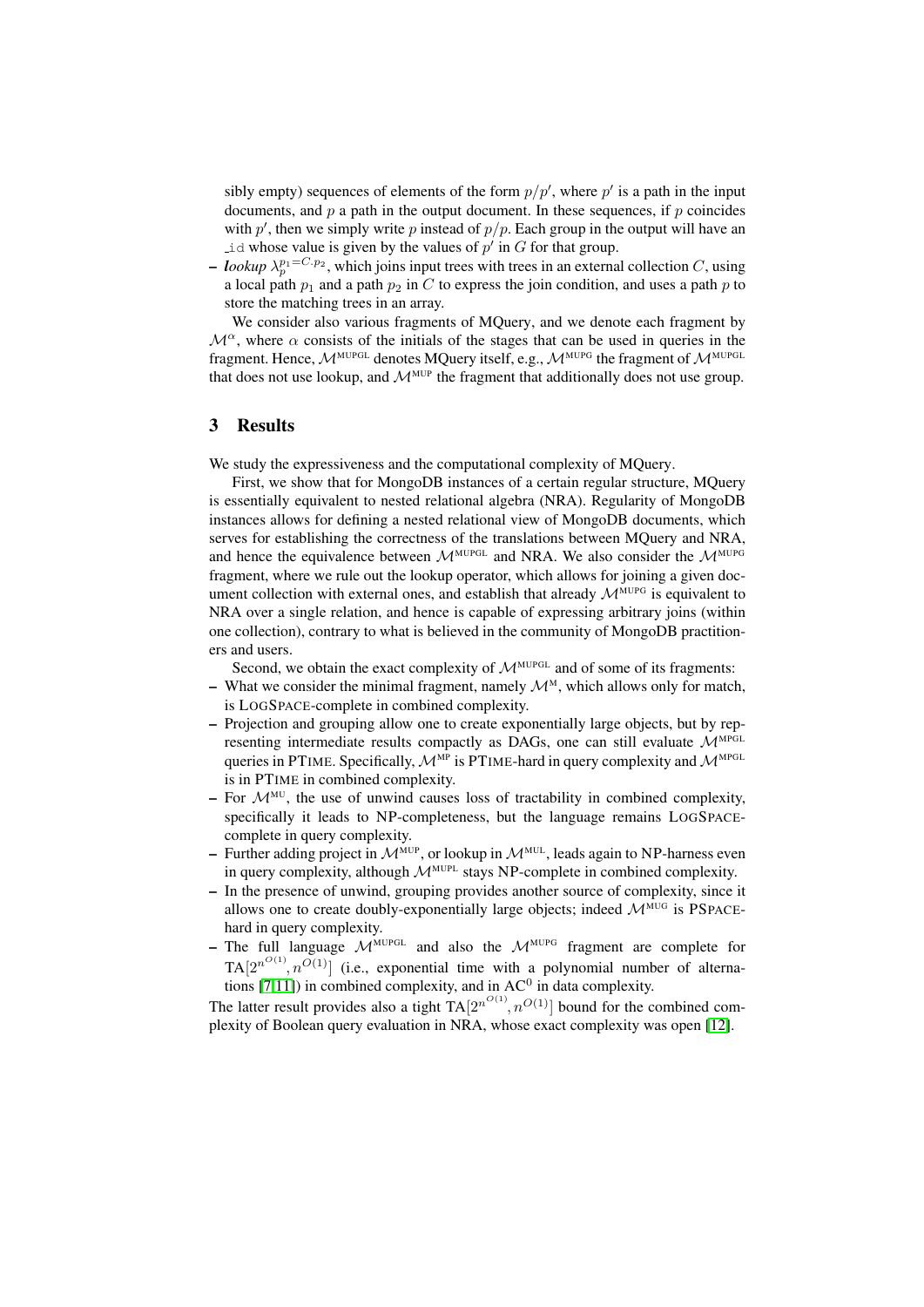sibly empty) sequences of elements of the form  $p/p'$ , where  $p'$  is a path in the input documents, and  $p$  a path in the output document. In these sequences, if  $p$  coincides with  $p'$ , then we simply write p instead of  $p/p$ . Each group in the output will have an id whose value is given by the values of  $p'$  in  $G$  for that group.

 $-$  *lookup*  $\lambda_p^{p_1=C.p_2}$ , which joins input trees with trees in an external collection C, using a local path  $p_1$  and a path  $p_2$  in C to express the join condition, and uses a path p to store the matching trees in an array.

We consider also various fragments of MQuery, and we denote each fragment by  $\mathcal{M}^{\alpha}$ , where  $\alpha$  consists of the initials of the stages that can be used in queries in the fragment. Hence,  $\mathcal{M}^{\text{MUPGL}}$  denotes MQuery itself, e.g.,  $\mathcal{M}^{\text{MUPG}}$  the fragment of  $\mathcal{M}^{\text{MUPGL}}$ that does not use lookup, and  $\mathcal{M}^{\text{MUP}}$  the fragment that additionally does not use group.

#### 3 Results

We study the expressiveness and the computational complexity of MQuery.

First, we show that for MongoDB instances of a certain regular structure, MQuery is essentially equivalent to nested relational algebra (NRA). Regularity of MongoDB instances allows for defining a nested relational view of MongoDB documents, which serves for establishing the correctness of the translations between MQuery and NRA, and hence the equivalence between  $\mathcal{M}^{\text{MUPGL}}$  and NRA. We also consider the  $\mathcal{M}^{\text{MUPG}}$ fragment, where we rule out the lookup operator, which allows for joining a given document collection with external ones, and establish that already  $\mathcal{M}^{\text{MUPG}}$  is equivalent to NRA over a single relation, and hence is capable of expressing arbitrary joins (within one collection), contrary to what is believed in the community of MongoDB practitioners and users.

Second, we obtain the exact complexity of  $M^{\text{MUPGL}}$  and of some of its fragments:

- What we consider the minimal fragment, namely  $\mathcal{M}^M$ , which allows only for match, is LOGSPACE-complete in combined complexity.
- Projection and grouping allow one to create exponentially large objects, but by representing intermediate results compactly as DAGs, one can still evaluate  $\mathcal{M}^{\text{MPGL}}$ queries in PTIME. Specifically,  $\mathcal{M}^{MP}$  is PTIME-hard in query complexity and  $\mathcal{M}^{MPGL}$ is in PTIME in combined complexity.
- For  $\mathcal{M}^{\text{MU}}$ , the use of unwind causes loss of tractability in combined complexity, specifically it leads to NP-completeness, but the language remains LOGSPACEcomplete in query complexity.
- Further adding project in  $\mathcal{M}^{MUP}$ , or lookup in  $\mathcal{M}^{MUL}$ , leads again to NP-harness even in query complexity, although  $M^{\text{MUPL}}$  stays NP-complete in combined complexity.
- In the presence of unwind, grouping provides another source of complexity, since it allows one to create doubly-exponentially large objects; indeed  $\mathcal{M}^{\text{MUG}}$  is PSPACEhard in query complexity.
- The full language  $M^{\text{MUPGL}}$  and also the  $M^{\text{MUPG}}$  fragment are complete for  $TA[2^{n^{O(1)}}, n^{O(1)}]$  (i.e., exponential time with a polynomial number of alternations [7,11]) in combined complexity, and in  $AC<sup>0</sup>$  in data complexity.

The latter result provides also a tight  $TA[2^{n^{O(1)}}, n^{O(1)}]$  bound for the combined complexity of Boolean query evaluation in NRA, whose exact complexity was open [12].